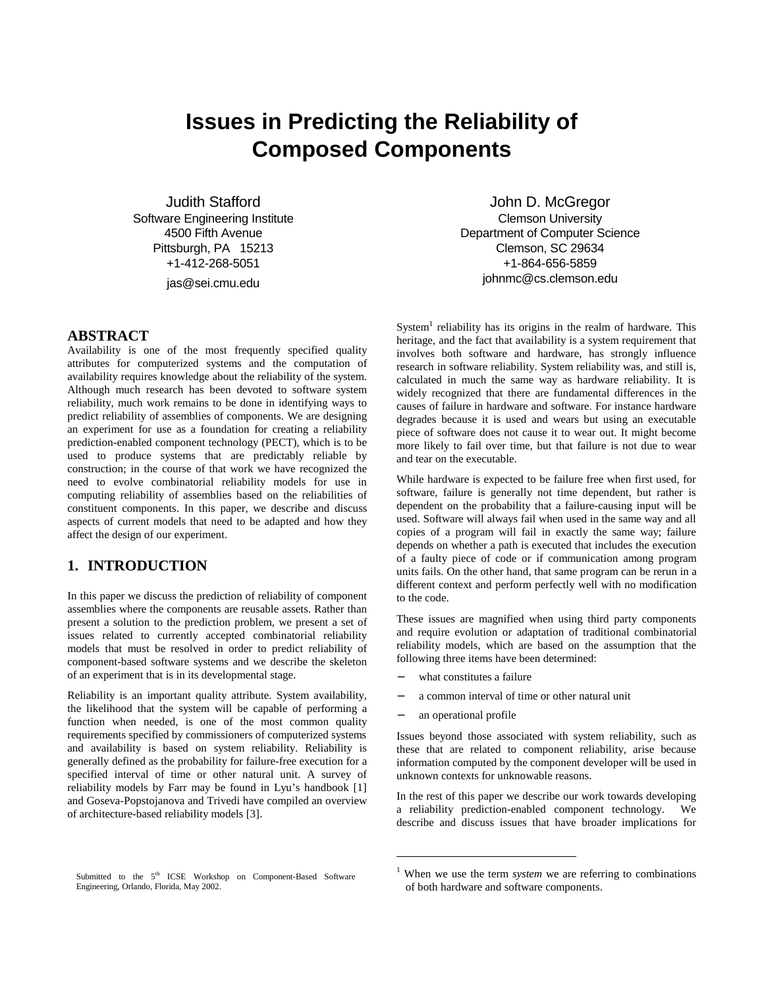# **Issues in Predicting the Reliability of Composed Components**

Judith Stafford Software Engineering Institute 4500 Fifth Avenue Pittsburgh, PA 15213 +1-412-268-5051 jas@sei.cmu.edu

#### **ABSTRACT**

Availability is one of the most frequently specified quality attributes for computerized systems and the computation of availability requires knowledge about the reliability of the system. Although much research has been devoted to software system reliability, much work remains to be done in identifying ways to predict reliability of assemblies of components. We are designing an experiment for use as a foundation for creating a reliability prediction-enabled component technology (PECT), which is to be used to produce systems that are predictably reliable by construction; in the course of that work we have recognized the need to evolve combinatorial reliability models for use in computing reliability of assemblies based on the reliabilities of constituent components. In this paper, we describe and discuss aspects of current models that need to be adapted and how they affect the design of our experiment.

## **1. INTRODUCTION**

In this paper we discuss the prediction of reliability of component assemblies where the components are reusable assets. Rather than present a solution to the prediction problem, we present a set of issues related to currently accepted combinatorial reliability models that must be resolved in order to predict reliability of component-based software systems and we describe the skeleton of an experiment that is in its developmental stage.

Reliability is an important quality attribute. System availability, the likelihood that the system will be capable of performing a function when needed, is one of the most common quality requirements specified by commissioners of computerized systems and availability is based on system reliability. Reliability is generally defined as the probability for failure-free execution for a specified interval of time or other natural unit. A survey of reliability models by Farr may be found in Lyu's handbook [1] and Goseva-Popstojanova and Trivedi have compiled an overview of architecture-based reliability models [3].

John D. McGregor Clemson University Department of Computer Science Clemson, SC 29634 +1-864-656-5859 johnmc@cs.clemson.edu

System<sup>1</sup> reliability has its origins in the realm of hardware. This heritage, and the fact that availability is a system requirement that involves both software and hardware, has strongly influence research in software reliability. System reliability was, and still is, calculated in much the same way as hardware reliability. It is widely recognized that there are fundamental differences in the causes of failure in hardware and software. For instance hardware degrades because it is used and wears but using an executable piece of software does not cause it to wear out. It might become more likely to fail over time, but that failure is not due to wear and tear on the executable.

While hardware is expected to be failure free when first used, for software, failure is generally not time dependent, but rather is dependent on the probability that a failure-causing input will be used. Software will always fail when used in the same way and all copies of a program will fail in exactly the same way; failure depends on whether a path is executed that includes the execution of a faulty piece of code or if communication among program units fails. On the other hand, that same program can be rerun in a different context and perform perfectly well with no modification to the code.

These issues are magnified when using third party components and require evolution or adaptation of traditional combinatorial reliability models, which are based on the assumption that the following three items have been determined:

- what constitutes a failure
- a common interval of time or other natural unit
- an operational profile

Issues beyond those associated with system reliability, such as these that are related to component reliability, arise because information computed by the component developer will be used in unknown contexts for unknowable reasons.

In the rest of this paper we describe our work towards developing a reliability prediction-enabled component technology. We describe and discuss issues that have broader implications for

Submitted to the 5<sup>th</sup> ICSE Workshop on Component-Based Software Engineering, Orlando, Florida, May 2002.

<sup>1</sup> When we use the term *system* we are referring to combinations of both hardware and software components.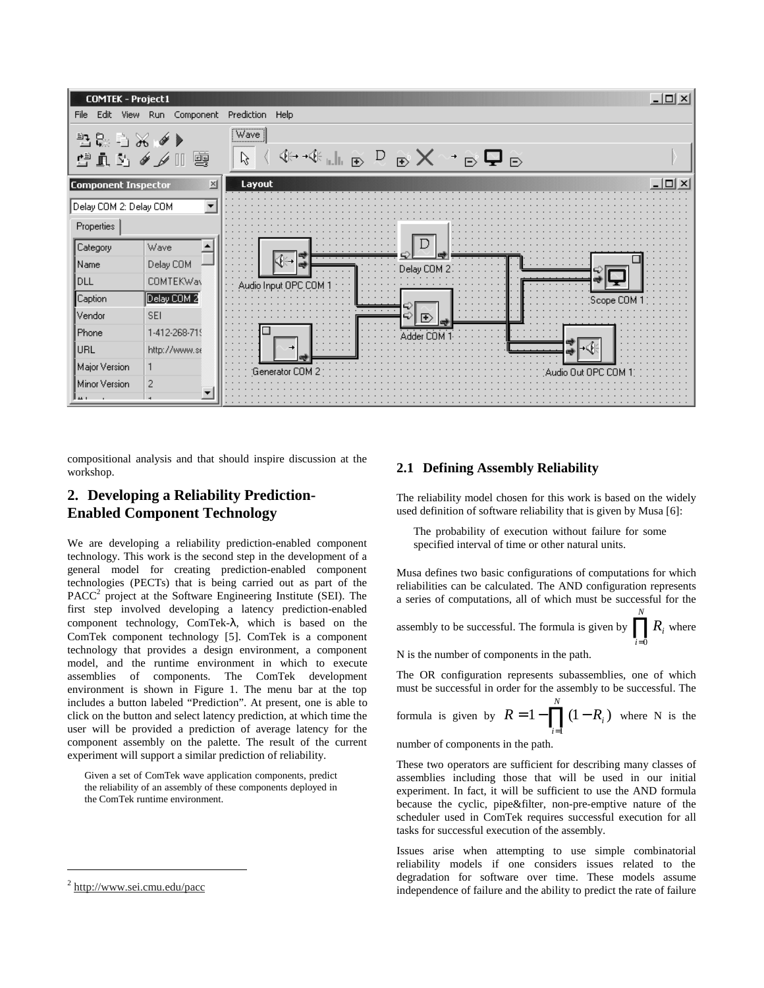

compositional analysis and that should inspire discussion at the workshop.

# **2. Developing a Reliability Prediction-Enabled Component Technology**

We are developing a reliability prediction-enabled component technology. This work is the second step in the development of a general model for creating prediction-enabled component technologies (PECTs) that is being carried out as part of the  $PACC<sup>2</sup>$  project at the Software Engineering Institute (SEI). The first step involved developing a latency prediction-enabled component technology, ComTek-λ, which is based on the ComTek component technology [5]. ComTek is a component technology that provides a design environment, a component model, and the runtime environment in which to execute assemblies of components. The ComTek development environment is shown in Figure 1. The menu bar at the top includes a button labeled "Prediction". At present, one is able to click on the button and select latency prediction, at which time the user will be provided a prediction of average latency for the component assembly on the palette. The result of the current experiment will support a similar prediction of reliability.

Given a set of ComTek wave application components, predict the reliability of an assembly of these components deployed in the ComTek runtime environment.

#### **2.1 Defining Assembly Reliability**

The reliability model chosen for this work is based on the widely used definition of software reliability that is given by Musa [6]:

The probability of execution without failure for some specified interval of time or other natural units.

Musa defines two basic configurations of computations for which reliabilities can be calculated. The AND configuration represents a series of computations, all of which must be successful for the

assembly to be successful. The formula is given by  $\prod_{i=0}^{N}$ *i*  $R_i$  where 0

N is the number of components in the path.

The OR configuration represents subassemblies, one of which must be successful in order for the assembly to be successful. The

formula is given by 
$$
R = 1 - \prod_{i=1}^{N} (1 - R_i)
$$
 where N is the

number of components in the path.

These two operators are sufficient for describing many classes of assemblies including those that will be used in our initial experiment. In fact, it will be sufficient to use the AND formula because the cyclic, pipe&filter, non-pre-emptive nature of the scheduler used in ComTek requires successful execution for all tasks for successful execution of the assembly.

Issues arise when attempting to use simple combinatorial reliability models if one considers issues related to the degradation for software over time. These models assume independence of failure and the ability to predict the rate of failure

<sup>2</sup> http://www.sei.cmu.edu/pacc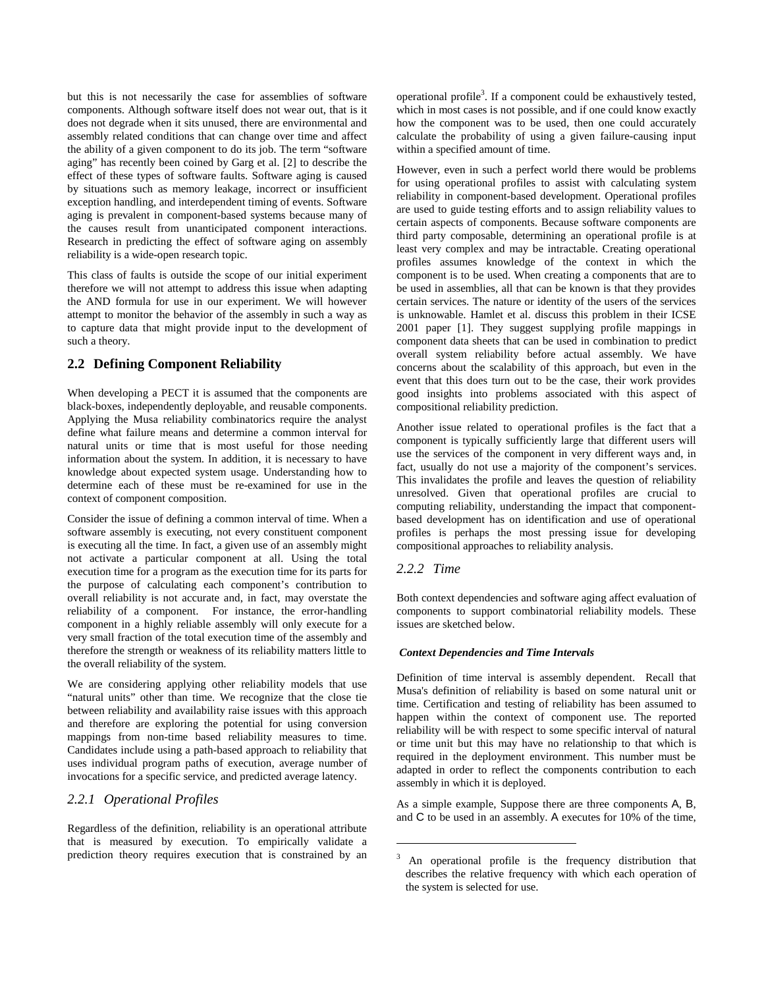but this is not necessarily the case for assemblies of software components. Although software itself does not wear out, that is it does not degrade when it sits unused, there are environmental and assembly related conditions that can change over time and affect the ability of a given component to do its job. The term "software aging" has recently been coined by Garg et al. [2] to describe the effect of these types of software faults. Software aging is caused by situations such as memory leakage, incorrect or insufficient exception handling, and interdependent timing of events. Software aging is prevalent in component-based systems because many of the causes result from unanticipated component interactions. Research in predicting the effect of software aging on assembly reliability is a wide-open research topic.

This class of faults is outside the scope of our initial experiment therefore we will not attempt to address this issue when adapting the AND formula for use in our experiment. We will however attempt to monitor the behavior of the assembly in such a way as to capture data that might provide input to the development of such a theory.

#### **2.2 Defining Component Reliability**

When developing a PECT it is assumed that the components are black-boxes, independently deployable, and reusable components. Applying the Musa reliability combinatorics require the analyst define what failure means and determine a common interval for natural units or time that is most useful for those needing information about the system. In addition, it is necessary to have knowledge about expected system usage. Understanding how to determine each of these must be re-examined for use in the context of component composition.

Consider the issue of defining a common interval of time. When a software assembly is executing, not every constituent component is executing all the time. In fact, a given use of an assembly might not activate a particular component at all. Using the total execution time for a program as the execution time for its parts for the purpose of calculating each component's contribution to overall reliability is not accurate and, in fact, may overstate the reliability of a component. For instance, the error-handling component in a highly reliable assembly will only execute for a very small fraction of the total execution time of the assembly and therefore the strength or weakness of its reliability matters little to the overall reliability of the system.

We are considering applying other reliability models that use "natural units" other than time. We recognize that the close tie between reliability and availability raise issues with this approach and therefore are exploring the potential for using conversion mappings from non-time based reliability measures to time. Candidates include using a path-based approach to reliability that uses individual program paths of execution, average number of invocations for a specific service, and predicted average latency.

#### *2.2.1 Operational Profiles*

Regardless of the definition, reliability is an operational attribute that is measured by execution. To empirically validate a prediction theory requires execution that is constrained by an

operational profile<sup>3</sup>. If a component could be exhaustively tested, which in most cases is not possible, and if one could know exactly how the component was to be used, then one could accurately calculate the probability of using a given failure-causing input within a specified amount of time.

However, even in such a perfect world there would be problems for using operational profiles to assist with calculating system reliability in component-based development. Operational profiles are used to guide testing efforts and to assign reliability values to certain aspects of components. Because software components are third party composable, determining an operational profile is at least very complex and may be intractable. Creating operational profiles assumes knowledge of the context in which the component is to be used. When creating a components that are to be used in assemblies, all that can be known is that they provides certain services. The nature or identity of the users of the services is unknowable. Hamlet et al. discuss this problem in their ICSE 2001 paper [1]. They suggest supplying profile mappings in component data sheets that can be used in combination to predict overall system reliability before actual assembly. We have concerns about the scalability of this approach, but even in the event that this does turn out to be the case, their work provides good insights into problems associated with this aspect of compositional reliability prediction.

Another issue related to operational profiles is the fact that a component is typically sufficiently large that different users will use the services of the component in very different ways and, in fact, usually do not use a majority of the component's services. This invalidates the profile and leaves the question of reliability unresolved. Given that operational profiles are crucial to computing reliability, understanding the impact that componentbased development has on identification and use of operational profiles is perhaps the most pressing issue for developing compositional approaches to reliability analysis.

#### *2.2.2 Time*

Both context dependencies and software aging affect evaluation of components to support combinatorial reliability models. These issues are sketched below.

#### *Context Dependencies and Time Intervals*

Definition of time interval is assembly dependent. Recall that Musa's definition of reliability is based on some natural unit or time. Certification and testing of reliability has been assumed to happen within the context of component use. The reported reliability will be with respect to some specific interval of natural or time unit but this may have no relationship to that which is required in the deployment environment. This number must be adapted in order to reflect the components contribution to each assembly in which it is deployed.

As a simple example, Suppose there are three components A, B, and C to be used in an assembly. A executes for 10% of the time,

<sup>&</sup>lt;sup>3</sup> An operational profile is the frequency distribution that describes the relative frequency with which each operation of the system is selected for use.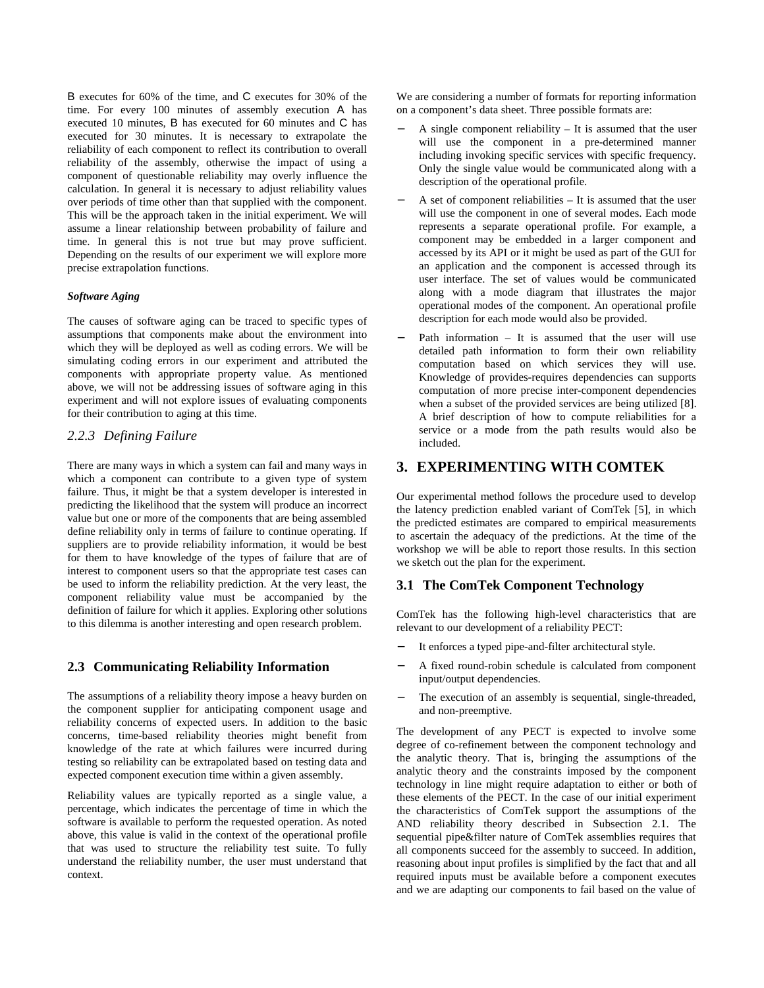B executes for 60% of the time, and C executes for 30% of the time. For every 100 minutes of assembly execution A has executed 10 minutes, B has executed for 60 minutes and C has executed for 30 minutes. It is necessary to extrapolate the reliability of each component to reflect its contribution to overall reliability of the assembly, otherwise the impact of using a component of questionable reliability may overly influence the calculation. In general it is necessary to adjust reliability values over periods of time other than that supplied with the component. This will be the approach taken in the initial experiment. We will assume a linear relationship between probability of failure and time. In general this is not true but may prove sufficient. Depending on the results of our experiment we will explore more precise extrapolation functions.

#### *Software Aging*

The causes of software aging can be traced to specific types of assumptions that components make about the environment into which they will be deployed as well as coding errors. We will be simulating coding errors in our experiment and attributed the components with appropriate property value. As mentioned above, we will not be addressing issues of software aging in this experiment and will not explore issues of evaluating components for their contribution to aging at this time.

#### *2.2.3 Defining Failure*

There are many ways in which a system can fail and many ways in which a component can contribute to a given type of system failure. Thus, it might be that a system developer is interested in predicting the likelihood that the system will produce an incorrect value but one or more of the components that are being assembled define reliability only in terms of failure to continue operating. If suppliers are to provide reliability information, it would be best for them to have knowledge of the types of failure that are of interest to component users so that the appropriate test cases can be used to inform the reliability prediction. At the very least, the component reliability value must be accompanied by the definition of failure for which it applies. Exploring other solutions to this dilemma is another interesting and open research problem.

#### **2.3 Communicating Reliability Information**

The assumptions of a reliability theory impose a heavy burden on the component supplier for anticipating component usage and reliability concerns of expected users. In addition to the basic concerns, time-based reliability theories might benefit from knowledge of the rate at which failures were incurred during testing so reliability can be extrapolated based on testing data and expected component execution time within a given assembly.

Reliability values are typically reported as a single value, a percentage, which indicates the percentage of time in which the software is available to perform the requested operation. As noted above, this value is valid in the context of the operational profile that was used to structure the reliability test suite. To fully understand the reliability number, the user must understand that context.

We are considering a number of formats for reporting information on a component's data sheet. Three possible formats are:

- A single component reliability  $-$  It is assumed that the user will use the component in a pre-determined manner including invoking specific services with specific frequency. Only the single value would be communicated along with a description of the operational profile.
- − A set of component reliabilities It is assumed that the user will use the component in one of several modes. Each mode represents a separate operational profile. For example, a component may be embedded in a larger component and accessed by its API or it might be used as part of the GUI for an application and the component is accessed through its user interface. The set of values would be communicated along with a mode diagram that illustrates the major operational modes of the component. An operational profile description for each mode would also be provided.
- Path information It is assumed that the user will use detailed path information to form their own reliability computation based on which services they will use. Knowledge of provides-requires dependencies can supports computation of more precise inter-component dependencies when a subset of the provided services are being utilized [8]. A brief description of how to compute reliabilities for a service or a mode from the path results would also be included.

# **3. EXPERIMENTING WITH COMTEK**

Our experimental method follows the procedure used to develop the latency prediction enabled variant of ComTek [5], in which the predicted estimates are compared to empirical measurements to ascertain the adequacy of the predictions. At the time of the workshop we will be able to report those results. In this section we sketch out the plan for the experiment.

#### **3.1 The ComTek Component Technology**

ComTek has the following high-level characteristics that are relevant to our development of a reliability PECT:

- It enforces a typed pipe-and-filter architectural style.
- − A fixed round-robin schedule is calculated from component input/output dependencies.
- The execution of an assembly is sequential, single-threaded, and non-preemptive.

The development of any PECT is expected to involve some degree of co-refinement between the component technology and the analytic theory. That is, bringing the assumptions of the analytic theory and the constraints imposed by the component technology in line might require adaptation to either or both of these elements of the PECT. In the case of our initial experiment the characteristics of ComTek support the assumptions of the AND reliability theory described in Subsection 2.1. The sequential pipe&filter nature of ComTek assemblies requires that all components succeed for the assembly to succeed. In addition, reasoning about input profiles is simplified by the fact that and all required inputs must be available before a component executes and we are adapting our components to fail based on the value of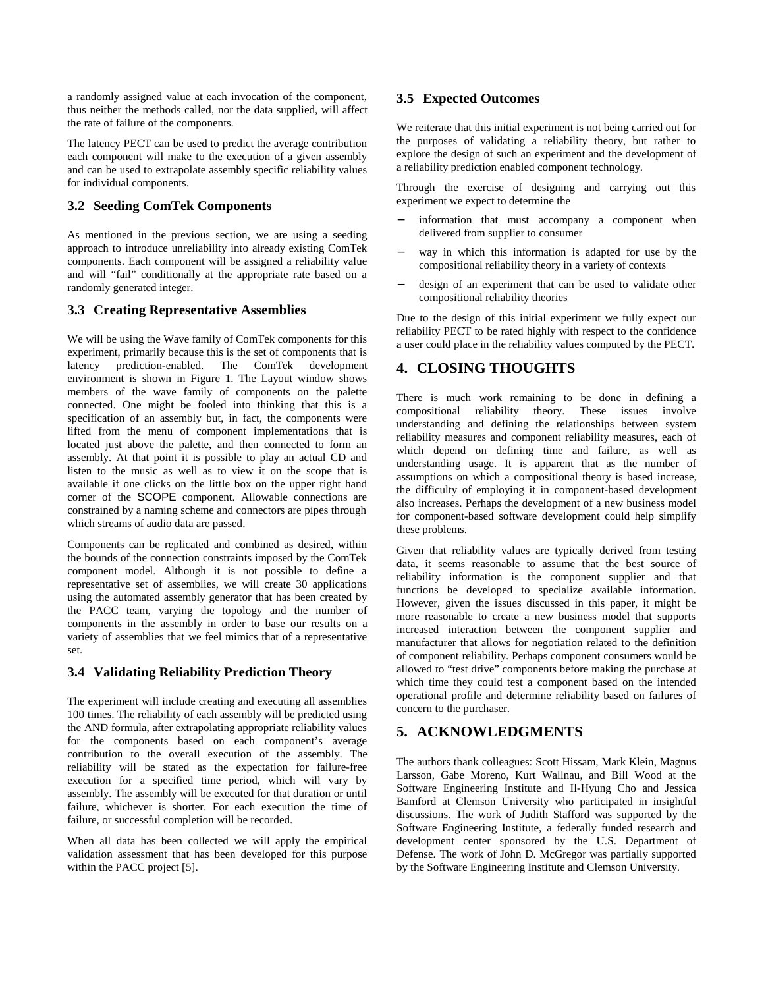a randomly assigned value at each invocation of the component, thus neither the methods called, nor the data supplied, will affect the rate of failure of the components.

The latency PECT can be used to predict the average contribution each component will make to the execution of a given assembly and can be used to extrapolate assembly specific reliability values for individual components.

# **3.2 Seeding ComTek Components**

As mentioned in the previous section, we are using a seeding approach to introduce unreliability into already existing ComTek components. Each component will be assigned a reliability value and will "fail" conditionally at the appropriate rate based on a randomly generated integer.

## **3.3 Creating Representative Assemblies**

We will be using the Wave family of ComTek components for this experiment, primarily because this is the set of components that is latency prediction-enabled. The ComTek development environment is shown in Figure 1. The Layout window shows members of the wave family of components on the palette connected. One might be fooled into thinking that this is a specification of an assembly but, in fact, the components were lifted from the menu of component implementations that is located just above the palette, and then connected to form an assembly. At that point it is possible to play an actual CD and listen to the music as well as to view it on the scope that is available if one clicks on the little box on the upper right hand corner of the SCOPE component. Allowable connections are constrained by a naming scheme and connectors are pipes through which streams of audio data are passed.

Components can be replicated and combined as desired, within the bounds of the connection constraints imposed by the ComTek component model. Although it is not possible to define a representative set of assemblies, we will create 30 applications using the automated assembly generator that has been created by the PACC team, varying the topology and the number of components in the assembly in order to base our results on a variety of assemblies that we feel mimics that of a representative set.

# **3.4 Validating Reliability Prediction Theory**

The experiment will include creating and executing all assemblies 100 times. The reliability of each assembly will be predicted using the AND formula, after extrapolating appropriate reliability values for the components based on each component's average contribution to the overall execution of the assembly. The reliability will be stated as the expectation for failure-free execution for a specified time period, which will vary by assembly. The assembly will be executed for that duration or until failure, whichever is shorter. For each execution the time of failure, or successful completion will be recorded.

When all data has been collected we will apply the empirical validation assessment that has been developed for this purpose within the PACC project [5].

### **3.5 Expected Outcomes**

We reiterate that this initial experiment is not being carried out for the purposes of validating a reliability theory, but rather to explore the design of such an experiment and the development of a reliability prediction enabled component technology.

Through the exercise of designing and carrying out this experiment we expect to determine the

- information that must accompany a component when delivered from supplier to consumer
- way in which this information is adapted for use by the compositional reliability theory in a variety of contexts
- − design of an experiment that can be used to validate other compositional reliability theories

Due to the design of this initial experiment we fully expect our reliability PECT to be rated highly with respect to the confidence a user could place in the reliability values computed by the PECT.

# **4. CLOSING THOUGHTS**

There is much work remaining to be done in defining a compositional reliability theory. These issues involve understanding and defining the relationships between system reliability measures and component reliability measures, each of which depend on defining time and failure, as well as understanding usage. It is apparent that as the number of assumptions on which a compositional theory is based increase, the difficulty of employing it in component-based development also increases. Perhaps the development of a new business model for component-based software development could help simplify these problems.

Given that reliability values are typically derived from testing data, it seems reasonable to assume that the best source of reliability information is the component supplier and that functions be developed to specialize available information. However, given the issues discussed in this paper, it might be more reasonable to create a new business model that supports increased interaction between the component supplier and manufacturer that allows for negotiation related to the definition of component reliability. Perhaps component consumers would be allowed to "test drive" components before making the purchase at which time they could test a component based on the intended operational profile and determine reliability based on failures of concern to the purchaser.

# **5. ACKNOWLEDGMENTS**

The authors thank colleagues: Scott Hissam, Mark Klein, Magnus Larsson, Gabe Moreno, Kurt Wallnau, and Bill Wood at the Software Engineering Institute and Il-Hyung Cho and Jessica Bamford at Clemson University who participated in insightful discussions. The work of Judith Stafford was supported by the Software Engineering Institute, a federally funded research and development center sponsored by the U.S. Department of Defense. The work of John D. McGregor was partially supported by the Software Engineering Institute and Clemson University.